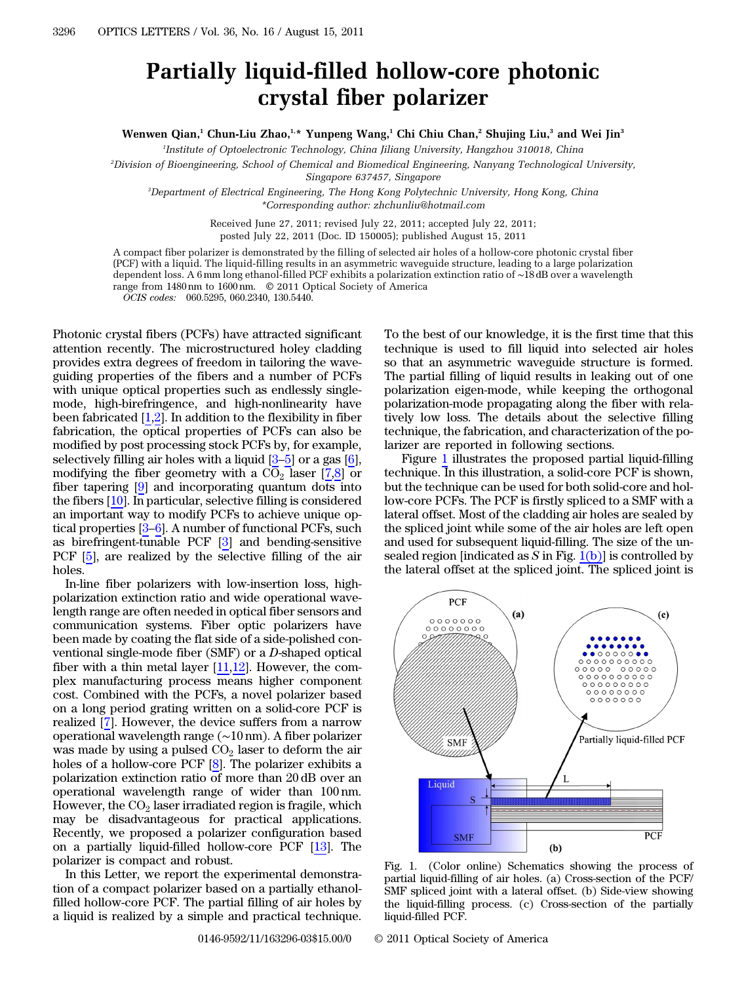## Partially liquid-filled hollow-core photonic crystal fiber polarizer

Wenwen Qian,<sup>1</sup> Chun-Liu Zhao,<sup>1,\*</sup> Yunpeng Wang,<sup>1</sup> Chi Chiu Chan,<sup>2</sup> Shujing Liu,<sup>3</sup> and Wei Jin<sup>3</sup>

1 Institute of Optoelectronic Technology, China Jiliang University, Hangzhou 310018, China

2 Division of Bioengineering, School of Chemical and Biomedical Engineering, Nanyang Technological University, Singapore 637457, Singapore

3 Department of Electrical Engineering, The Hong Kong Polytechnic University, Hong Kong, China \*Corresponding author: zhchunliu@hotmail.com

> Received June 27, 2011; revised July 22, 2011; accepted July 22, 2011; posted July 22, 2011 (Doc. ID 150005); published August 15, 2011

A compact fiber polarizer is demonstrated by the filling of selected air holes of a hollow-core photonic crystal fiber (PCF) with a liquid. The liquid-filling results in an asymmetric waveguide structure, leading to a large polarization dependent loss. A <sup>6</sup> mm long ethanol-filled PCF exhibits a polarization extinction ratio of <sup>∼</sup><sup>18</sup> dB over a wavelength range from 1480 nm to 1600 nm. © 2011 Optical Society of America OCIS codes: 060.5295, 060.2340, 130.5440.

Photonic crystal fibers (PCFs) have attracted significant attention recently. The microstructured holey cladding provides extra degrees of freedom in tailoring the waveguiding properties of the fibers and a number of PCFs with unique optical properties such as endlessly singlemode, high-birefringence, and high-nonlinearity have been fabricated [\[1](#page-2-0),[2](#page-2-1)]. In addition to the flexibility in fiber fabrication, the optical properties of PCFs can also be modified by post processing stock PCFs by, for example, selectively filling air holes with a liquid [[3](#page-2-2)–[5\]](#page-2-3) or a gas [\[6](#page-2-4)], modifying the fiber geometry with a  $CO<sub>2</sub>$  laser [[7](#page-2-5)[,8](#page-2-6)] or fiber tapering [[9\]](#page-2-7) and incorporating quantum dots into the fibers [[10](#page-2-8)]. In particular, selective filling is considered an important way to modify PCFs to achieve unique optical properties [\[3](#page-2-2)–[6](#page-2-4)]. A number of functional PCFs, such as birefringent-tunable PCF [[3\]](#page-2-2) and bending-sensitive PCF [\[5](#page-2-3)], are realized by the selective filling of the air holes.

In-line fiber polarizers with low-insertion loss, highpolarization extinction ratio and wide operational wavelength range are often needed in optical fiber sensors and communication systems. Fiber optic polarizers have been made by coating the flat side of a side-polished conventional single-mode fiber (SMF) or a D-shaped optical fiber with a thin metal layer [[11,](#page-2-9)[12](#page-2-10)]. However, the complex manufacturing process means higher component cost. Combined with the PCFs, a novel polarizer based on a long period grating written on a solid-core PCF is realized [[7\]](#page-2-5). However, the device suffers from a narrow operational wavelength range (∼<sup>10</sup> nm). A fiber polarizer was made by using a pulsed  $CO<sub>2</sub>$  laser to deform the air holes of a hollow-core PCF [\[8](#page-2-6)]. The polarizer exhibits a polarization extinction ratio of more than 20 dB over an operational wavelength range of wider than 100 nm. However, the  $CO<sub>2</sub>$  laser irradiated region is fragile, which may be disadvantageous for practical applications. Recently, we proposed a polarizer configuration based on a partially liquid-filled hollow-core PCF [\[13](#page-2-11)]. The polarizer is compact and robust.

In this Letter, we report the experimental demonstration of a compact polarizer based on a partially ethanolfilled hollow-core PCF. The partial filling of air holes by a liquid is realized by a simple and practical technique.

To the best of our knowledge, it is the first time that this technique is used to fill liquid into selected air holes so that an asymmetric waveguide structure is formed. The partial filling of liquid results in leaking out of one polarization eigen-mode, while keeping the orthogonal polarization-mode propagating along the fiber with relatively low loss. The details about the selective filling technique, the fabrication, and characterization of the polarizer are reported in following sections.

Figure [1](#page-0-0) illustrates the proposed partial liquid-filling technique. In this illustration, a solid-core PCF is shown, but the technique can be used for both solid-core and hollow-core PCFs. The PCF is firstly spliced to a SMF with a lateral offset. Most of the cladding air holes are sealed by the spliced joint while some of the air holes are left open and used for subsequent liquid-filling. The size of the unsealed region [indicated as S in Fig.  $1(b)$ ] is controlled by the lateral offset at the spliced joint. The spliced joint is

<span id="page-0-0"></span>

<span id="page-0-1"></span>Fig. 1. (Color online) Schematics showing the process of partial liquid-filling of air holes. (a) Cross-section of the PCF/ SMF spliced joint with a lateral offset. (b) Side-view showing the liquid-filling process. (c) Cross-section of the partially liquid-filled PCF.

0146-9592/11/163296-03\$15.00/0 © 2011 Optical Society of America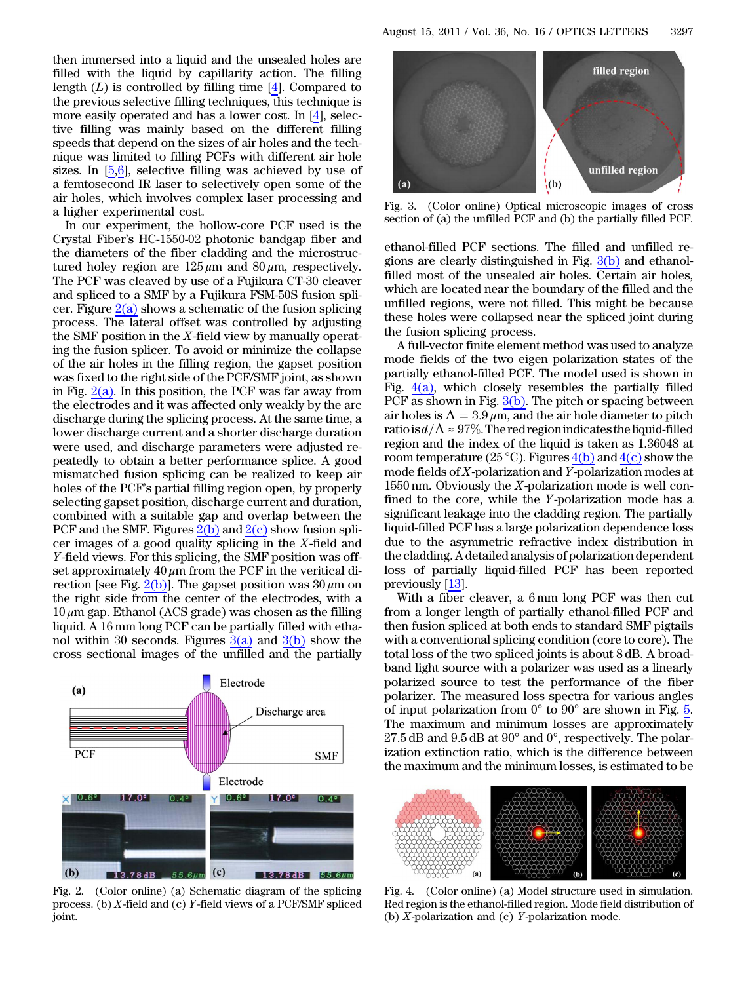then immersed into a liquid and the unsealed holes are filled with the liquid by capillarity action. The filling length  $(L)$  is controlled by filling time [\[4](#page-2-12)]. Compared to the previous selective filling techniques, this technique is more easily operated and has a lower cost. In [\[4](#page-2-12)], selective filling was mainly based on the different filling speeds that depend on the sizes of air holes and the technique was limited to filling PCFs with different air hole sizes. In [\[5](#page-2-3),[6\]](#page-2-4), selective filling was achieved by use of a femtosecond IR laser to selectively open some of the air holes, which involves complex laser processing and a higher experimental cost.

In our experiment, the hollow-core PCF used is the Crystal Fiber's HC-1550-02 photonic bandgap fiber and the diameters of the fiber cladding and the microstructured holey region are  $125 \mu m$  and  $80 \mu m$ , respectively. The PCF was cleaved by use of a Fujikura CT-30 cleaver and spliced to a SMF by a Fujikura FSM-50S fusion splicer. Figure  $2(a)$  shows a schematic of the fusion splicing process. The lateral offset was controlled by adjusting the SMF position in the  $X$ -field view by manually operating the fusion splicer. To avoid or minimize the collapse of the air holes in the filling region, the gapset position was fixed to the right side of the PCF/SMF joint, as shown in Fig.  $2(a)$ . In this position, the PCF was far away from the electrodes and it was affected only weakly by the arc discharge during the splicing process. At the same time, a lower discharge current and a shorter discharge duration were used, and discharge parameters were adjusted repeatedly to obtain a better performance splice. A good mismatched fusion splicing can be realized to keep air holes of the PCF's partial filling region open, by properly selecting gapset position, discharge current and duration, combined with a suitable gap and overlap between the PCF and the SMF. Figures  $2(b)$  and  $2(c)$  show fusion splicer images of a good quality splicing in the X-field and Y-field views. For this splicing, the SMF position was offset approximately  $40 \mu m$  from the PCF in the veritical di-rection [see Fig. [2\(b\)](#page-1-0)]. The gapset position was  $30 \mu m$  on the right side from the center of the electrodes, with a  $10 \mu$ m gap. Ethanol (ACS grade) was chosen as the filling liquid. A 16 mm long PCF can be partially filled with ethanol within 30 seconds. Figures  $3(a)$  and  $3(b)$  show the cross sectional images of the unfilled and the partially



<span id="page-1-0"></span>Fig. 2. (Color online) (a) Schematic diagram of the splicing process. (b) X-field and (c) Y-field views of a PCF/SMF spliced joint.



Fig. 3. (Color online) Optical microscopic images of cross section of (a) the unfilled PCF and (b) the partially filled PCF.

<span id="page-1-1"></span>ethanol-filled PCF sections. The filled and unfilled regions are clearly distinguished in Fig.  $3(b)$  and ethanolfilled most of the unsealed air holes. Certain air holes, which are located near the boundary of the filled and the unfilled regions, were not filled. This might be because these holes were collapsed near the spliced joint during the fusion splicing process.

A full-vector finite element method was used to analyze mode fields of the two eigen polarization states of the partially ethanol-filled PCF. The model used is shown in Fig.  $4(a)$ , which closely resembles the partially filled PCF as shown in Fig.  $3(b)$ . The pitch or spacing between air holes is  $\Lambda = 3.9 \,\mu \text{m}$ , and the air hole diameter to pitch ratiois  $d/\Lambda \approx 97\%$ . The red region indicates the liquid-filled region and the index of the liquid is taken as 1.36048 at room temperature (25 °C). Figures  $4(b)$  and  $4(c)$  show the mode fields of X-polarization and Y-polarization modes at  $1550 \text{ nm}$ . Obviously the X-polarization mode is well confined to the core, while the Y-polarization mode has a significant leakage into the cladding region. The partially liquid-filled PCF has a large polarization dependence loss due to the asymmetric refractive index distribution in the cladding. A detailed analysis of polarization dependent loss of partially liquid-filled PCF has been reported previously [[13](#page-2-11)].

With a fiber cleaver, a 6 mm long PCF was then cut from a longer length of partially ethanol-filled PCF and then fusion spliced at both ends to standard SMF pigtails with a conventional splicing condition (core to core). The total loss of the two spliced joints is about 8 dB. A broadband light source with a polarizer was used as a linearly polarized source to test the performance of the fiber polarizer. The measured loss spectra for various angles of input polarization from  $0^{\circ}$  to  $90^{\circ}$  are shown in Fig. [5.](#page-2-13) The maximum and minimum losses are approximately  $27.5$  dB and  $9.5$  dB at  $90^{\circ}$  and  $0^{\circ}$ , respectively. The polarization extinction ratio, which is the difference between the maximum and the minimum losses, is estimated to be



<span id="page-1-2"></span>Fig. 4. (Color online) (a) Model structure used in simulation. Red region is the ethanol-filled region. Mode field distribution of (b) X-polarization and (c) Y-polarization mode.